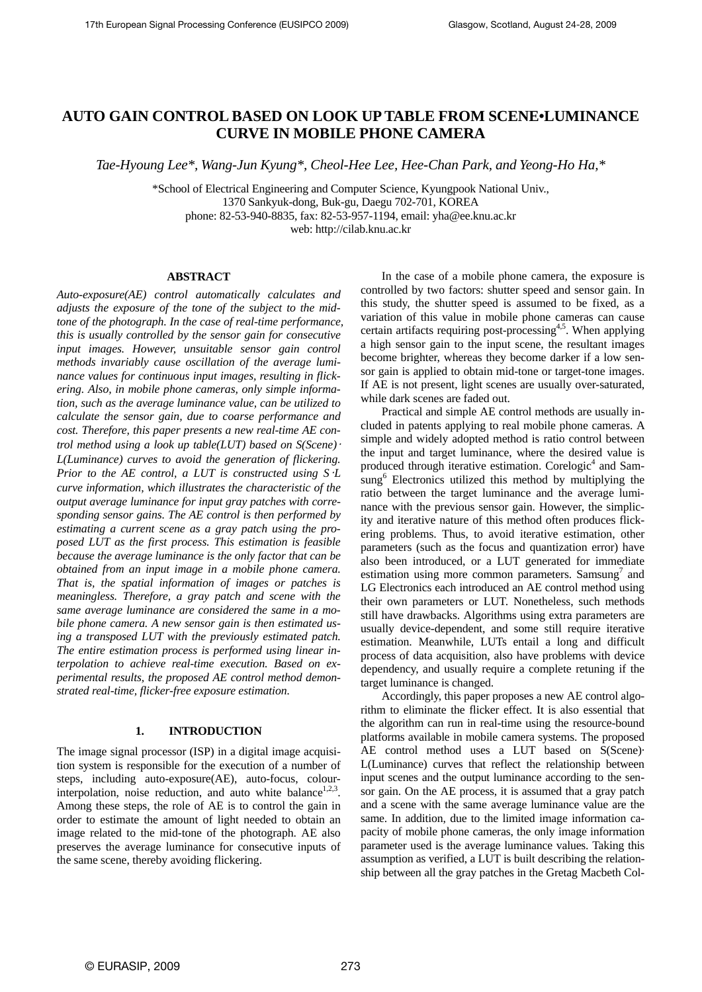## **AUTO GAIN CONTROL BASED ON LOOK UP TABLE FROM SCENE•LUMINANCE CURVE IN MOBILE PHONE CAMERA**

*Tae-Hyoung Lee\*, Wang-Jun Kyung\*, Cheol-Hee Lee, Hee-Chan Park, and Yeong-Ho Ha,\** 

\*School of Electrical Engineering and Computer Science, Kyungpook National Univ., 1370 Sankyuk-dong, Buk-gu, Daegu 702-701, KOREA phone: 82-53-940-8835, fax: 82-53-957-1194, email: yha@ee.knu.ac.kr web: http://cilab.knu.ac.kr

## **ABSTRACT**

*Auto-exposure(AE) control automatically calculates and adjusts the exposure of the tone of the subject to the midtone of the photograph. In the case of real-time performance, this is usually controlled by the sensor gain for consecutive input images. However, unsuitable sensor gain control methods invariably cause oscillation of the average luminance values for continuous input images, resulting in flickering. Also, in mobile phone cameras, only simple information, such as the average luminance value, can be utilized to calculate the sensor gain, due to coarse performance and cost. Therefore, this paper presents a new real-time AE control method using a look up table(LUT) based on S(Scene)*· *L(Luminance) curves to avoid the generation of flickering. Prior to the AE control, a LUT is constructed using S*·*L curve information, which illustrates the characteristic of the output average luminance for input gray patches with corresponding sensor gains. The AE control is then performed by estimating a current scene as a gray patch using the proposed LUT as the first process. This estimation is feasible because the average luminance is the only factor that can be obtained from an input image in a mobile phone camera. That is, the spatial information of images or patches is meaningless. Therefore, a gray patch and scene with the same average luminance are considered the same in a mobile phone camera. A new sensor gain is then estimated using a transposed LUT with the previously estimated patch. The entire estimation process is performed using linear interpolation to achieve real-time execution. Based on experimental results, the proposed AE control method demonstrated real-time, flicker-free exposure estimation.* 

## **1. INTRODUCTION**

The image signal processor (ISP) in a digital image acquisition system is responsible for the execution of a number of steps, including auto-exposure(AE), auto-focus, colourinterpolation, noise reduction, and auto white balance<sup>1,2,3</sup>. Among these steps, the role of AE is to control the gain in order to estimate the amount of light needed to obtain an image related to the mid-tone of the photograph. AE also preserves the average luminance for consecutive inputs of the same scene, thereby avoiding flickering.

In the case of a mobile phone camera, the exposure is controlled by two factors: shutter speed and sensor gain. In this study, the shutter speed is assumed to be fixed, as a variation of this value in mobile phone cameras can cause certain artifacts requiring post-processing<sup>4,5</sup>. When applying a high sensor gain to the input scene, the resultant images become brighter, whereas they become darker if a low sensor gain is applied to obtain mid-tone or target-tone images. If AE is not present, light scenes are usually over-saturated, while dark scenes are faded out.

Practical and simple AE control methods are usually included in patents applying to real mobile phone cameras. A simple and widely adopted method is ratio control between the input and target luminance, where the desired value is produced through iterative estimation. Corelogic<sup>4</sup> and Samsung<sup>6</sup> Electronics utilized this method by multiplying the ratio between the target luminance and the average luminance with the previous sensor gain. However, the simplicity and iterative nature of this method often produces flickering problems. Thus, to avoid iterative estimation, other parameters (such as the focus and quantization error) have also been introduced, or a LUT generated for immediate estimation using more common parameters. Samsung<sup>7</sup> and LG Electronics each introduced an AE control method using their own parameters or LUT. Nonetheless, such methods still have drawbacks. Algorithms using extra parameters are usually device-dependent, and some still require iterative estimation. Meanwhile, LUTs entail a long and difficult process of data acquisition, also have problems with device dependency, and usually require a complete retuning if the target luminance is changed.

Accordingly, this paper proposes a new AE control algorithm to eliminate the flicker effect. It is also essential that the algorithm can run in real-time using the resource-bound platforms available in mobile camera systems. The proposed AE control method uses a LUT based on S(Scene)· L(Luminance) curves that reflect the relationship between input scenes and the output luminance according to the sensor gain. On the AE process, it is assumed that a gray patch and a scene with the same average luminance value are the same. In addition, due to the limited image information capacity of mobile phone cameras, the only image information parameter used is the average luminance values. Taking this assumption as verified, a LUT is built describing the relationship between all the gray patches in the Gretag Macbeth Col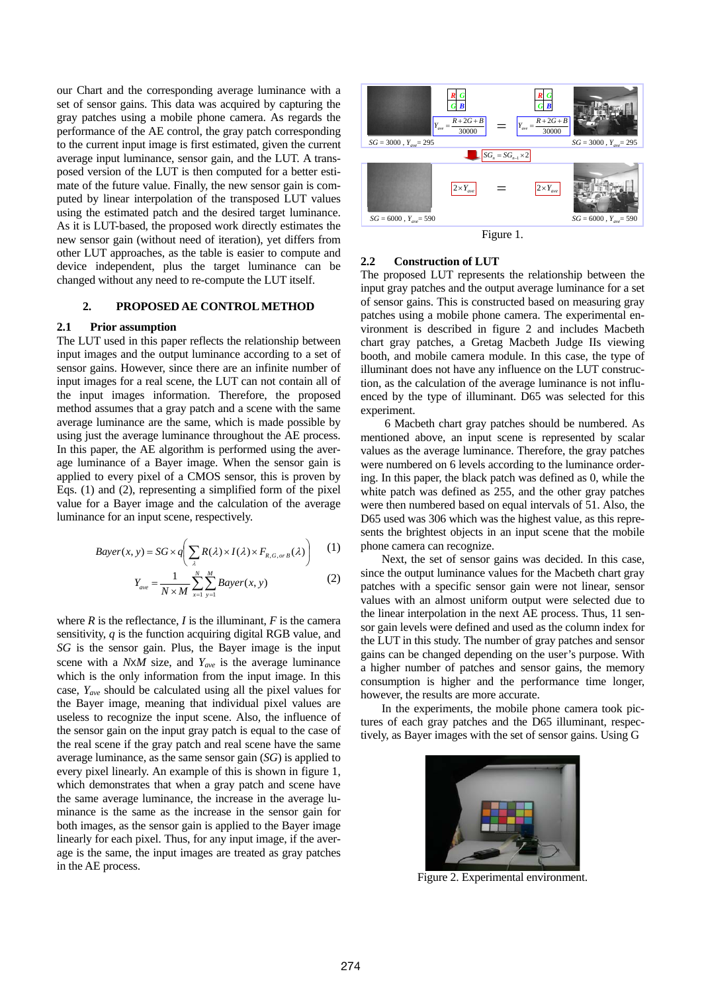our Chart and the corresponding average luminance with a set of sensor gains. This data was acquired by capturing the gray patches using a mobile phone camera. As regards the performance of the AE control, the gray patch corresponding to the current input image is first estimated, given the current average input luminance, sensor gain, and the LUT. A transposed version of the LUT is then computed for a better estimate of the future value. Finally, the new sensor gain is computed by linear interpolation of the transposed LUT values using the estimated patch and the desired target luminance. As it is LUT-based, the proposed work directly estimates the new sensor gain (without need of iteration), yet differs from other LUT approaches, as the table is easier to compute and device independent, plus the target luminance can be changed without any need to re-compute the LUT itself.

## **2. PROPOSED AE CONTROL METHOD**

## **2.1 Prior assumption**

The LUT used in this paper reflects the relationship between input images and the output luminance according to a set of sensor gains. However, since there are an infinite number of input images for a real scene, the LUT can not contain all of the input images information. Therefore, the proposed method assumes that a gray patch and a scene with the same average luminance are the same, which is made possible by using just the average luminance throughout the AE process. In this paper, the AE algorithm is performed using the average luminance of a Bayer image. When the sensor gain is applied to every pixel of a CMOS sensor, this is proven by Eqs. (1) and (2), representing a simplified form of the pixel value for a Bayer image and the calculation of the average luminance for an input scene, respectively.

$$
Bayer(x, y) = SG \times q \left( \sum_{\lambda} R(\lambda) \times I(\lambda) \times F_{R, G, or B}(\lambda) \right) \tag{1}
$$

$$
Y_{ave} = \frac{1}{N \times M} \sum_{x=1}^{N} \sum_{y=1}^{M} Bayer(x, y)
$$
 (2)

where  $R$  is the reflectance,  $I$  is the illuminant,  $F$  is the camera sensitivity, *q* is the function acquiring digital RGB value, and *SG* is the sensor gain. Plus, the Bayer image is the input scene with a *N*х*M* size, and *Yave* is the average luminance which is the only information from the input image. In this case, *Yave* should be calculated using all the pixel values for the Bayer image, meaning that individual pixel values are useless to recognize the input scene. Also, the influence of the sensor gain on the input gray patch is equal to the case of the real scene if the gray patch and real scene have the same average luminance, as the same sensor gain (*SG*) is applied to every pixel linearly. An example of this is shown in figure 1, which demonstrates that when a gray patch and scene have the same average luminance, the increase in the average luminance is the same as the increase in the sensor gain for both images, as the sensor gain is applied to the Bayer image linearly for each pixel. Thus, for any input image, if the average is the same, the input images are treated as gray patches in the AE process.



## **2.2 Construction of LUT**

The proposed LUT represents the relationship between the input gray patches and the output average luminance for a set of sensor gains. This is constructed based on measuring gray patches using a mobile phone camera. The experimental environment is described in figure 2 and includes Macbeth chart gray patches, a Gretag Macbeth Judge IIs viewing booth, and mobile camera module. In this case, the type of illuminant does not have any influence on the LUT construction, as the calculation of the average luminance is not influenced by the type of illuminant. D65 was selected for this experiment.

 6 Macbeth chart gray patches should be numbered. As mentioned above, an input scene is represented by scalar values as the average luminance. Therefore, the gray patches were numbered on 6 levels according to the luminance ordering. In this paper, the black patch was defined as 0, while the white patch was defined as 255, and the other gray patches were then numbered based on equal intervals of 51. Also, the D65 used was 306 which was the highest value, as this represents the brightest objects in an input scene that the mobile phone camera can recognize.

Next, the set of sensor gains was decided. In this case, since the output luminance values for the Macbeth chart gray patches with a specific sensor gain were not linear, sensor values with an almost uniform output were selected due to the linear interpolation in the next AE process. Thus, 11 sensor gain levels were defined and used as the column index for the LUT in this study. The number of gray patches and sensor gains can be changed depending on the user's purpose. With a higher number of patches and sensor gains, the memory consumption is higher and the performance time longer, however, the results are more accurate.

In the experiments, the mobile phone camera took pictures of each gray patches and the D65 illuminant, respectively, as Bayer images with the set of sensor gains. Using G



Figure 2. Experimental environment.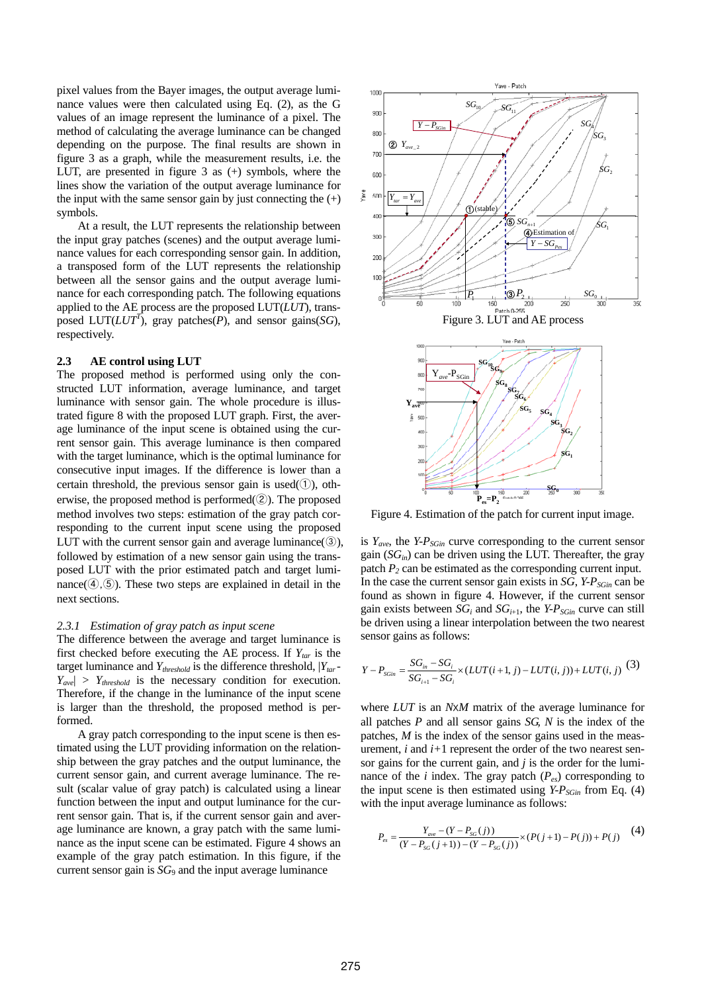pixel values from the Bayer images, the output average luminance values were then calculated using Eq. (2), as the G values of an image represent the luminance of a pixel. The method of calculating the average luminance can be changed depending on the purpose. The final results are shown in figure 3 as a graph, while the measurement results, i.e. the LUT, are presented in figure 3 as (+) symbols, where the lines show the variation of the output average luminance for the input with the same sensor gain by just connecting the  $(+)$ symbols.

At a result, the LUT represents the relationship between the input gray patches (scenes) and the output average luminance values for each corresponding sensor gain. In addition, a transposed form of the LUT represents the relationship between all the sensor gains and the output average luminance for each corresponding patch. The following equations applied to the AE process are the proposed LUT(*LUT*), transposed  $LUT(LUT^T)$ , gray patches(*P*), and sensor gains(*SG*), respectively.

#### **2.3 AE control using LUT**

The proposed method is performed using only the constructed LUT information, average luminance, and target luminance with sensor gain. The whole procedure is illustrated figure 8 with the proposed LUT graph. First, the average luminance of the input scene is obtained using the current sensor gain. This average luminance is then compared with the target luminance, which is the optimal luminance for consecutive input images. If the difference is lower than a certain threshold, the previous sensor gain is used $(1)$ , otherwise, the proposed method is performed(②). The proposed method involves two steps: estimation of the gray patch corresponding to the current input scene using the proposed LUT with the current sensor gain and average luminance( $\circ$ ), followed by estimation of a new sensor gain using the transposed LUT with the prior estimated patch and target luminance( $(4, 5)$ ). These two steps are explained in detail in the next sections.

#### *2.3.1 Estimation of gray patch as input scene*

The difference between the average and target luminance is first checked before executing the AE process. If  $Y_{tar}$  is the target luminance and *Ythreshold* is the difference threshold, |*Ytar -*  $|Y_{\text{ave}}| > Y_{\text{threshold}}$  is the necessary condition for execution. Therefore, if the change in the luminance of the input scene is larger than the threshold, the proposed method is performed.

A gray patch corresponding to the input scene is then estimated using the LUT providing information on the relationship between the gray patches and the output luminance, the current sensor gain, and current average luminance. The result (scalar value of gray patch) is calculated using a linear function between the input and output luminance for the current sensor gain. That is, if the current sensor gain and average luminance are known, a gray patch with the same luminance as the input scene can be estimated. Figure 4 shows an example of the gray patch estimation. In this figure, if the current sensor gain is  $SG_9$  and the input average luminance



Figure 4. Estimation of the patch for current input image.

is  $Y_{\text{ave}}$ , the *Y-P<sub>SGin</sub>* curve corresponding to the current sensor gain  $(SG<sub>in</sub>)$  can be driven using the LUT. Thereafter, the gray patch  $P_2$  can be estimated as the corresponding current input. In the case the current sensor gain exists in  $SG$ ,  $Y-P_{SGin}$  can be found as shown in figure 4. However, if the current sensor gain exists between  $SG_i$  and  $SG_{i+1}$ , the  $YP_{SGin}$  curve can still be driven using a linear interpolation between the two nearest sensor gains as follows:

$$
Y - P_{SGin} = \frac{SG_{in} - SG_i}{SG_{i+1} - SG_i} \times (LUT(i+1, j) - LUT(i, j)) + LUT(i, j)
$$
(3)

where *LUT* is an *N*х*M* matrix of the average luminance for all patches *P* and all sensor gains *SG, N* is the index of the patches, *M* is the index of the sensor gains used in the measurement, *i* and *i+*1 represent the order of the two nearest sensor gains for the current gain, and *j* is the order for the luminance of the *i* index. The gray patch  $(P_{es})$  corresponding to the input scene is then estimated using  $Y-P_{SGin}$  from Eq. (4) with the input average luminance as follows:

$$
P_{es} = \frac{Y_{ave} - (Y - P_{SG}(j)))}{(Y - P_{SG}(j+1)) - (Y - P_{SG}(j)))} \times (P(j+1) - P(j)) + P(j)
$$
(4)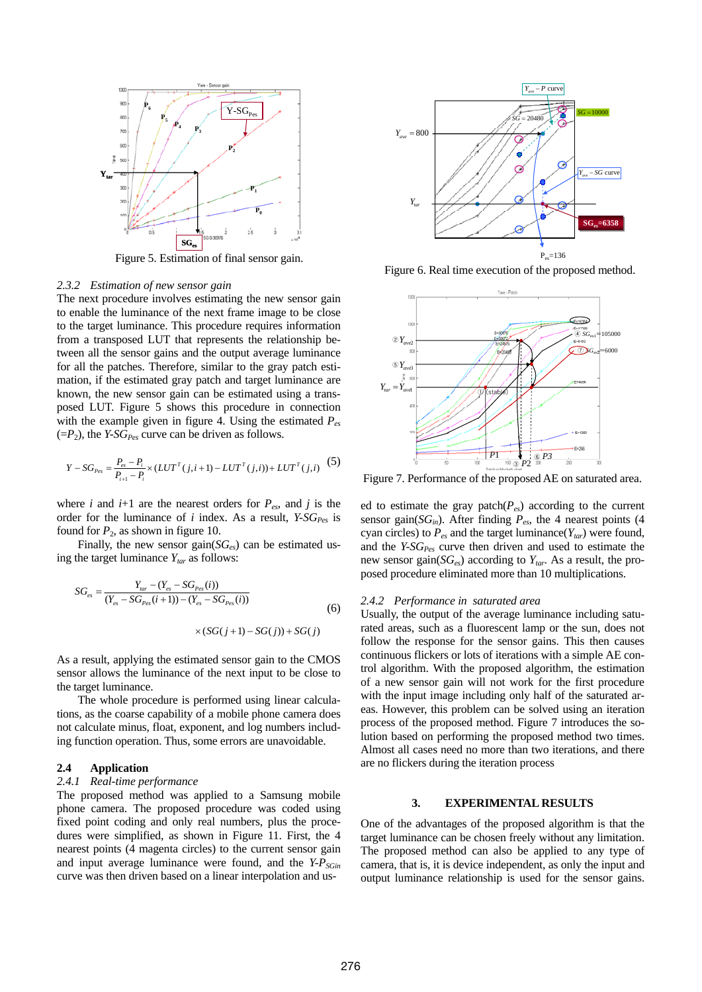

Figure 5. Estimation of final sensor gain.

#### *2.3.2 Estimation of new sensor gain*

The next procedure involves estimating the new sensor gain to enable the luminance of the next frame image to be close to the target luminance. This procedure requires information from a transposed LUT that represents the relationship between all the sensor gains and the output average luminance for all the patches. Therefore, similar to the gray patch estimation, if the estimated gray patch and target luminance are known, the new sensor gain can be estimated using a transposed LUT. Figure 5 shows this procedure in connection with the example given in figure 4. Using the estimated  $P_{eg}$  $(=P_2)$ , the *Y-SG<sub>Pes</sub>* curve can be driven as follows.

$$
Y - SG_{\text{Pes}} = \frac{P_{\text{es}} - P_i}{P_{i+1} - P_i} \times (LUT^T(j, i+1) - LUT^T(j, i)) + LUT^T(j, i)
$$
 (5)

where *i* and  $i+1$  are the nearest orders for  $P_{es}$ , and *j* is the order for the luminance of  $i$  index. As a result,  $Y-SG_{\text{Pes}}$  is found for  $P_2$ , as shown in figure 10.

Finally, the new sensor gain(*SGes*) can be estimated using the target luminance  $Y_{tar}$  as follows:

$$
SG_{es} = \frac{Y_{tar} - (Y_{es} - SG_{Pes}(i))}{(Y_{es} - SG_{Pes}(i+1)) - (Y_{es} - SG_{Pes}(i))}
$$
\n
$$
\times (SG(j+1) - SG(j)) + SG(j)
$$
\n(6)

As a result, applying the estimated sensor gain to the CMOS sensor allows the luminance of the next input to be close to the target luminance.

The whole procedure is performed using linear calculations, as the coarse capability of a mobile phone camera does not calculate minus, float, exponent, and log numbers including function operation. Thus, some errors are unavoidable.

# **2.4 Application**

## *2.4.1 Real-time performance*

The proposed method was applied to a Samsung mobile phone camera. The proposed procedure was coded using fixed point coding and only real numbers, plus the procedures were simplified, as shown in Figure 11. First, the 4 nearest points (4 magenta circles) to the current sensor gain and input average luminance were found, and the *Y-P<sub>SGin</sub>* curve was then driven based on a linear interpolation and us-



Figure 6. Real time execution of the proposed method.



Figure 7. Performance of the proposed AE on saturated area.

ed to estimate the gray patch(*Pes*) according to the current sensor gain( $SG<sub>in</sub>$ ). After finding  $P<sub>es</sub>$ , the 4 nearest points (4 cyan circles) to  $P_{es}$  and the target luminance( $Y_{tar}$ ) were found, and the *Y-SG<sub>Pes</sub>* curve then driven and used to estimate the new sensor gain(*SGes*) according to *Ytar*. As a result, the proposed procedure eliminated more than 10 multiplications.

#### *2.4.2 Performance in saturated area*

Usually, the output of the average luminance including saturated areas, such as a fluorescent lamp or the sun, does not follow the response for the sensor gains. This then causes continuous flickers or lots of iterations with a simple AE control algorithm. With the proposed algorithm, the estimation of a new sensor gain will not work for the first procedure with the input image including only half of the saturated areas. However, this problem can be solved using an iteration process of the proposed method. Figure 7 introduces the solution based on performing the proposed method two times. Almost all cases need no more than two iterations, and there are no flickers during the iteration process

#### **3. EXPERIMENTAL RESULTS**

One of the advantages of the proposed algorithm is that the target luminance can be chosen freely without any limitation. The proposed method can also be applied to any type of camera, that is, it is device independent, as only the input and output luminance relationship is used for the sensor gains.